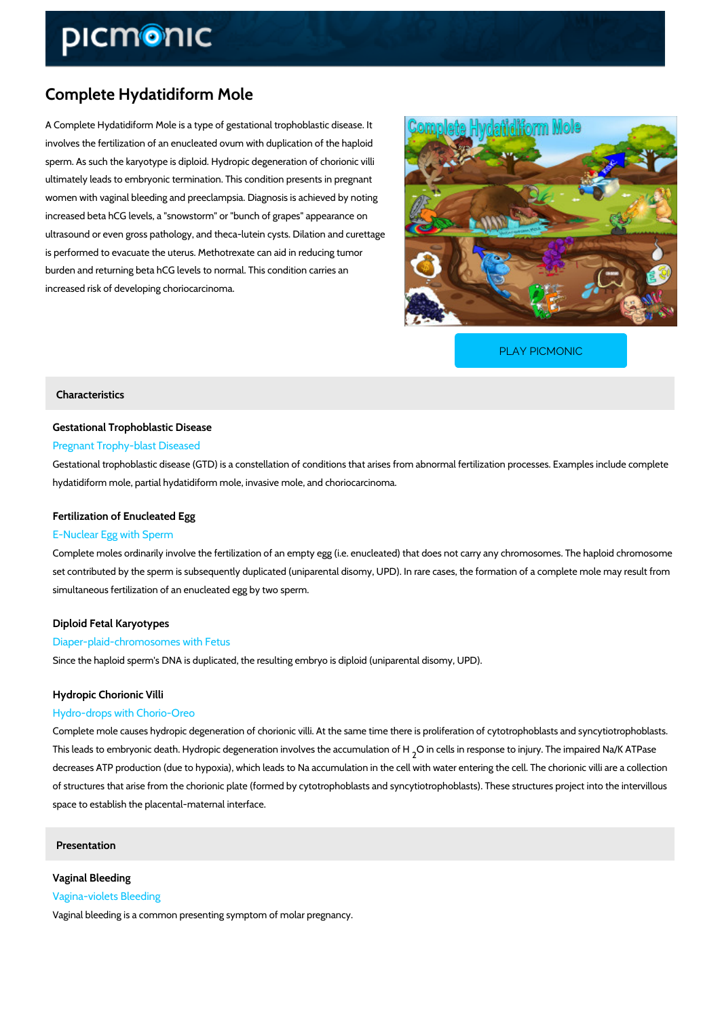# Complete Hydatidiform Mole

A Complete Hydatidiform Mole is a type of gestational trophoblastic disease. It involves the fertilization of an enucleated ovum with duplication of the haploid sperm. As such the karyotype is diploid. Hydropic degeneration of chorionic villi ultimately leads to embryonic termination. This condition presents in pregnant women with vaginal bleeding and preeclampsia. Diagnosis is achieved by noting increased beta hCG levels, a "snowstorm" or "bunch of grapes" appearance on ultrasound or even gross pathology, and theca-lutein cysts. Dilation and curettage is performed to evacuate the uterus. Methotrexate can aid in reducing tumor burden and returning beta hCG levels to normal. This condition carries an increased risk of developing choriocarcinoma.

[PLAY PICMONIC](https://www.picmonic.com/learn/complete-hydatidiform-mole_50364?utm_source=downloadable_content&utm_medium=distributedcontent&utm_campaign=pathways_pdf&utm_content=Complete Hydatidiform Mole&utm_ad_group=leads&utm_market=all)

# Characteristics

## Gestational Trophoblastic Disease

## Pregnant Trophy-blast Diseased

Gestational trophoblastic disease (GTD) is a constellation of conditions that arises from abno hydatidiform mole, partial hydatidiform mole, invasive mole, and choriocarcinoma.

# Fertilization of Enucleated Egg

# E-Nuclear Egg with Sperm

Complete moles ordinarily involve the fertilization of an empty egg (i.e. enucleated) that does set contributed by the sperm is subsequently duplicated (uniparental disomy, UPD). In rare ca simultaneous fertilization of an enucleated egg by two sperm.

## Diploid Fetal Karyotypes

### Diaper-plaid-chromosomes with Fetus

Since the haploid sperm's DNA is duplicated, the resulting embryo is diploid (uniparental diso

#### Hydropic Chorionic Villi

#### Hydro-drops with Chorio-Oreo

Complete mole causes hydropic degeneration of chorionic villi. At the same time there is proli This leads to embryonic death. Hydropic degenerati, Onimn or oll we sint he spons me ut loatino jnury f. Fine impai decreases ATP production (due to hypoxia), which leads to Na accumulation in the cell with w of structures that arise from the chorionic plate (formed by cytotrophoblasts and syncytiotrop space to establish the placental-maternal interface.

Presentation

# Vaginal Bleeding Vagina-violets Bleeding

Vaginal bleeding is a common presenting symptom of molar pregnancy.